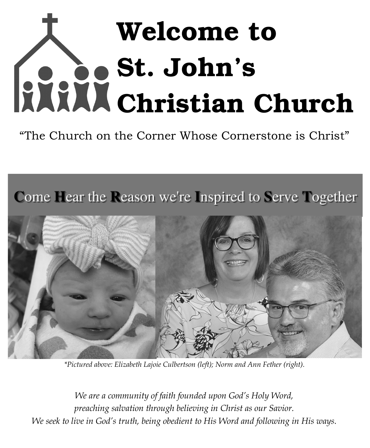# Welcome to St. John's Christian Church

"The Church on the Corner Whose Cornerstone is Christ"





*\*Pictured above: Elizabeth Lajoie Culbertson (left); Norm and Ann Fether (right).*

*We are a community of faith founded upon God's Holy Word, preaching salvation through believing in Christ as our Savior. We seek to live in God's truth, being obedient to His Word and following in His ways.*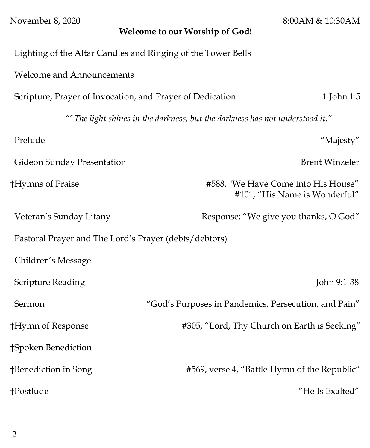| November 8, 2020                                                              | 8:00AM & 10:30AM<br>Welcome to our Worship of God!                   |  |  |
|-------------------------------------------------------------------------------|----------------------------------------------------------------------|--|--|
| Lighting of the Altar Candles and Ringing of the Tower Bells                  |                                                                      |  |  |
| <b>Welcome and Announcements</b>                                              |                                                                      |  |  |
| 1 John 1:5<br>Scripture, Prayer of Invocation, and Prayer of Dedication       |                                                                      |  |  |
| "5 The light shines in the darkness, but the darkness has not understood it." |                                                                      |  |  |
| Prelude                                                                       | "Majesty"                                                            |  |  |
| Gideon Sunday Presentation                                                    | <b>Brent Winzeler</b>                                                |  |  |
| †Hymns of Praise                                                              | #588, "We Have Come into His House"<br>#101, "His Name is Wonderful" |  |  |
| Veteran's Sunday Litany                                                       | Response: "We give you thanks, O God"                                |  |  |
| Pastoral Prayer and The Lord's Prayer (debts/debtors)                         |                                                                      |  |  |
| Children's Message                                                            |                                                                      |  |  |
| <b>Scripture Reading</b>                                                      | John 9:1-38                                                          |  |  |
| Sermon                                                                        | "God's Purposes in Pandemics, Persecution, and Pain"                 |  |  |
| †Hymn of Response                                                             | #305, "Lord, Thy Church on Earth is Seeking"                         |  |  |
| †Spoken Benediction                                                           |                                                                      |  |  |
| †Benediction in Song                                                          | #569, verse 4, "Battle Hymn of the Republic"                         |  |  |
| †Postlude                                                                     | "He Is Exalted"                                                      |  |  |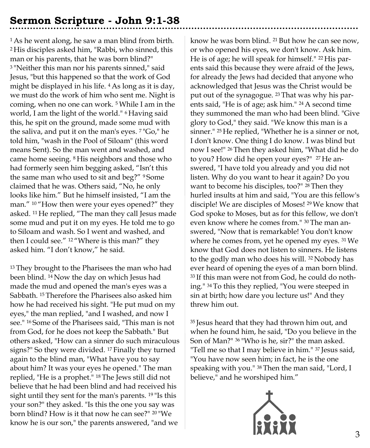# **Sermon Scripture - John 9:1-38**

<sup>1</sup> As he went along, he saw a man blind from birth. <sup>2</sup>His disciples asked him, "Rabbi, who sinned, this man or his parents, that he was born blind?" <sup>3</sup>"Neither this man nor his parents sinned," said Jesus, "but this happened so that the work of God might be displayed in his life. 4 As long as it is day, we must do the work of him who sent me. Night is coming, when no one can work. 5 While I am in the world, I am the light of the world." 6 Having said this, he spit on the ground, made some mud with the saliva, and put it on the man's eyes. 7 "Go," he told him, "wash in the Pool of Siloam" (this word means Sent). So the man went and washed, and came home seeing. <sup>8</sup> His neighbors and those who had formerly seen him begging asked, "Isn't this the same man who used to sit and beg?" <sup>9</sup> Some claimed that he was. Others said, "No, he only looks like him." But he himself insisted, "I am the man." <sup>10</sup> "How then were your eyes opened?" they asked. <sup>11</sup> He replied, "The man they call Jesus made some mud and put it on my eyes. He told me to go to Siloam and wash. So I went and washed, and then I could see." <sup>12</sup> "Where is this man?" they asked him. "I don't know," he said.

<sup>13</sup> They brought to the Pharisees the man who had been blind. 14 Now the day on which Jesus had made the mud and opened the man's eyes was a Sabbath. 15 Therefore the Pharisees also asked him how he had received his sight. "He put mud on my eyes," the man replied, "and I washed, and now I see." 16 Some of the Pharisees said, "This man is not from God, for he does not keep the Sabbath." But others asked, "How can a sinner do such miraculous signs?" So they were divided. 17 Finally they turned again to the blind man, "What have you to say about him? It was your eyes he opened." The man replied, "He is a prophet." 18 The Jews still did not believe that he had been blind and had received his sight until they sent for the man's parents. 19 "Is this your son?" they asked. "Is this the one you say was born blind? How is it that now he can see?" 20 "We know he is our son," the parents answered, "and we

know he was born blind. 21 But how he can see now, or who opened his eyes, we don't know. Ask him. He is of age; he will speak for himself." 22 His parents said this because they were afraid of the Jews, for already the Jews had decided that anyone who acknowledged that Jesus was the Christ would be put out of the synagogue. 23 That was why his parents said, "He is of age; ask him." 24 A second time they summoned the man who had been blind. "Give glory to God," they said. "We know this man is a sinner." 25 He replied, "Whether he is a sinner or not, I don't know. One thing I do know. I was blind but now I see!" 26 Then they asked him, "What did he do to you? How did he open your eyes?" 27 He answered, "I have told you already and you did not listen. Why do you want to hear it again? Do you want to become his disciples, too?" 28 Then they hurled insults at him and said, "You are this fellow's disciple! We are disciples of Moses! 29 We know that God spoke to Moses, but as for this fellow, we don't even know where he comes from." 30 The man answered, "Now that is remarkable! You don't know where he comes from, yet he opened my eyes. 31 We know that God does not listen to sinners. He listens to the godly man who does his will. 32 Nobody has ever heard of opening the eyes of a man born blind. 33 If this man were not from God, he could do nothing." 34 To this they replied, "You were steeped in sin at birth; how dare you lecture us!" And they threw him out.

<sup>35</sup>Jesus heard that they had thrown him out, and when he found him, he said, "Do you believe in the Son of Man?" 36 "Who is he, sir?" the man asked. "Tell me so that I may believe in him." 37 Jesus said, "You have now seen him; in fact, he is the one speaking with you." 38 Then the man said, "Lord, I believe," and he worshiped him."

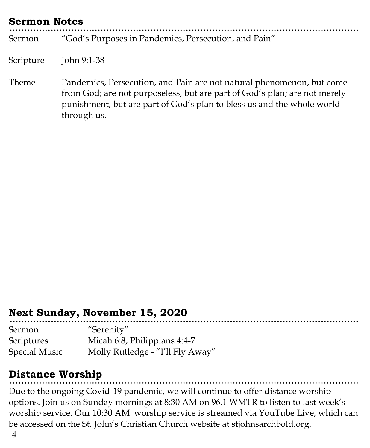| <b>Sermon Notes</b> |                                                                                                                                                                                                                                             |  |  |
|---------------------|---------------------------------------------------------------------------------------------------------------------------------------------------------------------------------------------------------------------------------------------|--|--|
| Sermon              | "God's Purposes in Pandemics, Persecution, and Pain"                                                                                                                                                                                        |  |  |
| Scripture           | John 9:1-38                                                                                                                                                                                                                                 |  |  |
| Theme               | Pandemics, Persecution, and Pain are not natural phenomenon, but come<br>from God; are not purposeless, but are part of God's plan; are not merely<br>punishment, but are part of God's plan to bless us and the whole world<br>through us. |  |  |

## **Next Sunday, November 15, 2020**

| Sermon               | "Serenity"                       |
|----------------------|----------------------------------|
| Scriptures           | Micah 6:8, Philippians 4:4-7     |
| <b>Special Music</b> | Molly Rutledge - "I'll Fly Away" |

# **Distance Worship**

Due to the ongoing Covid-19 pandemic, we will continue to offer distance worship options. Join us on Sunday mornings at 8:30 AM on 96.1 WMTR to listen to last week's worship service. Our 10:30 AM worship service is streamed via YouTube Live, which can be accessed on the St. John's Christian Church website at stjohnsarchbold.org.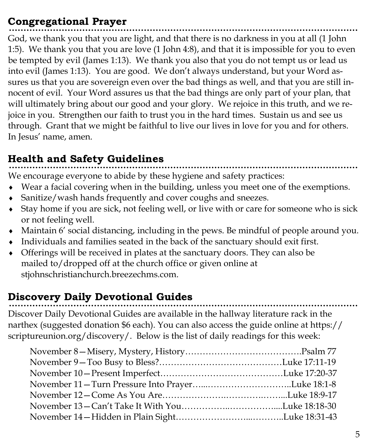## **Congregational Prayer**

God, we thank you that you are light, and that there is no darkness in you at all (1 John 1:5). We thank you that you are love (1 John 4:8), and that it is impossible for you to even be tempted by evil (James 1:13). We thank you also that you do not tempt us or lead us into evil (James 1:13). You are good. We don't always understand, but your Word assures us that you are sovereign even over the bad things as well, and that you are still innocent of evil. Your Word assures us that the bad things are only part of your plan, that will ultimately bring about our good and your glory. We rejoice in this truth, and we rejoice in you. Strengthen our faith to trust you in the hard times. Sustain us and see us through. Grant that we might be faithful to live our lives in love for you and for others. In Jesus' name, amen.

# **Health and Safety Guidelines**

We encourage everyone to abide by these hygiene and safety practices:

- Wear a facial covering when in the building, unless you meet one of the exemptions.
- Sanitize/wash hands frequently and cover coughs and sneezes.
- Stay home if you are sick, not feeling well, or live with or care for someone who is sick or not feeling well.
- Maintain 6' social distancing, including in the pews. Be mindful of people around you.
- Individuals and families seated in the back of the sanctuary should exit first.
- Offerings will be received in plates at the sanctuary doors. They can also be mailed to/dropped off at the church office or given online at stjohnschristianchurch.breezechms.com.

# **Discovery Daily Devotional Guides**

Discover Daily Devotional Guides are available in the hallway literature rack in the narthex (suggested donation \$6 each). You can also access the guide online at https:// scriptureunion.org/discovery/. Below is the list of daily readings for this week: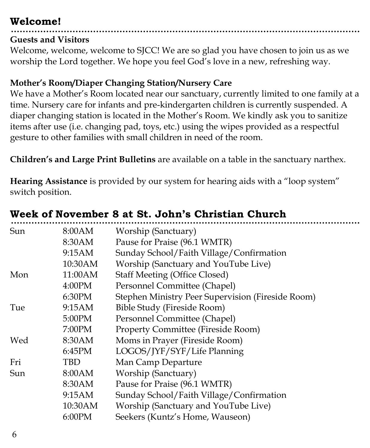## **Welcome!**

#### **Guests and Visitors**

Welcome, welcome, welcome to SJCC! We are so glad you have chosen to join us as we worship the Lord together. We hope you feel God's love in a new, refreshing way.

#### **Mother's Room/Diaper Changing Station/Nursery Care**

We have a Mother's Room located near our sanctuary, currently limited to one family at a time. Nursery care for infants and pre-kindergarten children is currently suspended. A diaper changing station is located in the Mother's Room. We kindly ask you to sanitize items after use (i.e. changing pad, toys, etc.) using the wipes provided as a respectful gesture to other families with small children in need of the room.

**Children's and Large Print Bulletins** are available on a table in the sanctuary narthex.

**Hearing Assistance** is provided by our system for hearing aids with a "loop system" switch position.

| Sun | 8:00AM  | Worship (Sanctuary)                               |
|-----|---------|---------------------------------------------------|
|     | 8:30AM  | Pause for Praise (96.1 WMTR)                      |
|     | 9:15AM  | Sunday School/Faith Village/Confirmation          |
|     | 10:30AM | Worship (Sanctuary and YouTube Live)              |
| Mon | 11:00AM | <b>Staff Meeting (Office Closed)</b>              |
|     | 4:00PM  | Personnel Committee (Chapel)                      |
|     | 6:30PM  | Stephen Ministry Peer Supervision (Fireside Room) |
| Tue | 9:15AM  | Bible Study (Fireside Room)                       |
|     | 5:00PM  | Personnel Committee (Chapel)                      |
|     | 7:00PM  | <b>Property Committee (Fireside Room)</b>         |
| Wed | 8:30AM  | Moms in Prayer (Fireside Room)                    |
|     | 6:45PM  | LOGOS/JYF/SYF/Life Planning                       |
| Fri | TBD     | Man Camp Departure                                |
| Sun | 8:00AM  | Worship (Sanctuary)                               |
|     | 8:30AM  | Pause for Praise (96.1 WMTR)                      |
|     | 9:15AM  | Sunday School/Faith Village/Confirmation          |
|     | 10:30AM | Worship (Sanctuary and YouTube Live)              |
|     | 6:00PM  | Seekers (Kuntz's Home, Wauseon)                   |
|     |         |                                                   |

# **Week of November 8 at St. John's Christian Church**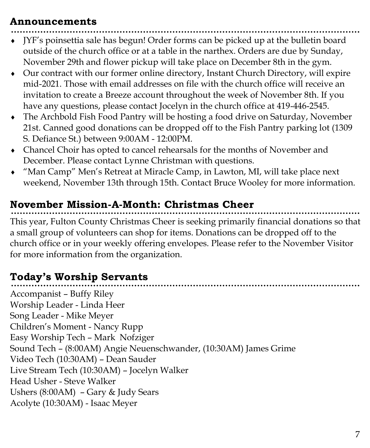## **Announcements**

- JYF's poinsettia sale has begun! Order forms can be picked up at the bulletin board outside of the church office or at a table in the narthex. Orders are due by Sunday, November 29th and flower pickup will take place on December 8th in the gym.
- Our contract with our former online directory, Instant Church Directory, will expire mid-2021. Those with email addresses on file with the church office will receive an invitation to create a Breeze account throughout the week of November 8th. If you have any questions, please contact Jocelyn in the church office at 419-446-2545.
- The Archbold Fish Food Pantry will be hosting a food drive on Saturday, November 21st. Canned good donations can be dropped off to the Fish Pantry parking lot (1309 S. Defiance St.) between 9:00AM - 12:00PM.
- Chancel Choir has opted to cancel rehearsals for the months of November and December. Please contact Lynne Christman with questions.
- "Man Camp" Men's Retreat at Miracle Camp, in Lawton, MI, will take place next weekend, November 13th through 15th. Contact Bruce Wooley for more information.

## **November Mission-A-Month: Christmas Cheer**

This year, Fulton County Christmas Cheer is seeking primarily financial donations so that a small group of volunteers can shop for items. Donations can be dropped off to the church office or in your weekly offering envelopes. Please refer to the November Visitor for more information from the organization.

# **Today's Worship Servants**

Accompanist – Buffy Riley Worship Leader - Linda Heer Song Leader - Mike Meyer Children's Moment - Nancy Rupp Easy Worship Tech – Mark Nofziger Sound Tech – (8:00AM) Angie Neuenschwander, (10:30AM) James Grime Video Tech (10:30AM) – Dean Sauder Live Stream Tech (10:30AM) – Jocelyn Walker Head Usher - Steve Walker Ushers (8:00AM) – Gary & Judy Sears Acolyte (10:30AM) - Isaac Meyer